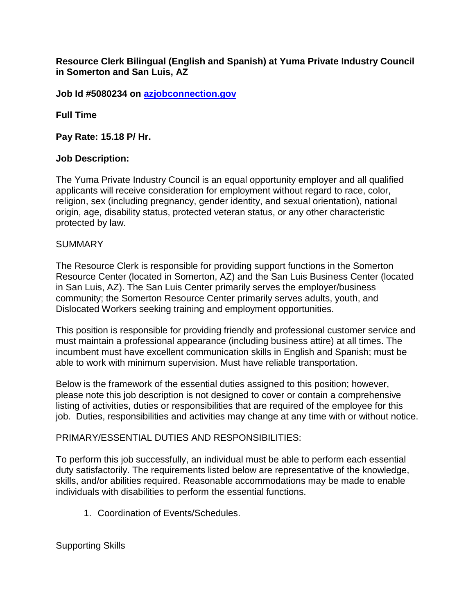**Resource Clerk Bilingual (English and Spanish) at Yuma Private Industry Council in Somerton and San Luis, AZ**

**Job Id #5080234 on [azjobconnection.gov](http://azjobconnection.gov/)**

**Full Time**

**Pay Rate: 15.18 P/ Hr.** 

## **Job Description:**

The Yuma Private Industry Council is an equal opportunity employer and all qualified applicants will receive consideration for employment without regard to race, color, religion, sex (including pregnancy, gender identity, and sexual orientation), national origin, age, disability status, protected veteran status, or any other characteristic protected by law.

## SUMMARY

The Resource Clerk is responsible for providing support functions in the Somerton Resource Center (located in Somerton, AZ) and the San Luis Business Center (located in San Luis, AZ). The San Luis Center primarily serves the employer/business community; the Somerton Resource Center primarily serves adults, youth, and Dislocated Workers seeking training and employment opportunities.

This position is responsible for providing friendly and professional customer service and must maintain a professional appearance (including business attire) at all times. The incumbent must have excellent communication skills in English and Spanish; must be able to work with minimum supervision. Must have reliable transportation.

Below is the framework of the essential duties assigned to this position; however, please note this job description is not designed to cover or contain a comprehensive listing of activities, duties or responsibilities that are required of the employee for this job. Duties, responsibilities and activities may change at any time with or without notice.

## PRIMARY/ESSENTIAL DUTIES AND RESPONSIBILITIES:

To perform this job successfully, an individual must be able to perform each essential duty satisfactorily. The requirements listed below are representative of the knowledge, skills, and/or abilities required. Reasonable accommodations may be made to enable individuals with disabilities to perform the essential functions.

1. Coordination of Events/Schedules.

## Supporting Skills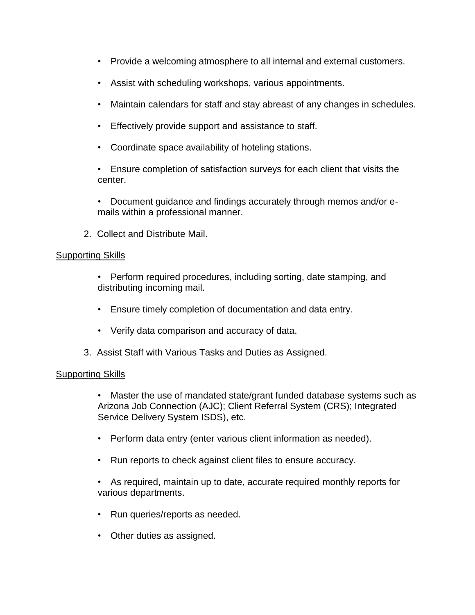- Provide a welcoming atmosphere to all internal and external customers.
- Assist with scheduling workshops, various appointments.
- Maintain calendars for staff and stay abreast of any changes in schedules.
- Effectively provide support and assistance to staff.
- Coordinate space availability of hoteling stations.

• Ensure completion of satisfaction surveys for each client that visits the center.

• Document guidance and findings accurately through memos and/or emails within a professional manner.

2. Collect and Distribute Mail.

### **Supporting Skills**

- Perform required procedures, including sorting, date stamping, and distributing incoming mail.
- Ensure timely completion of documentation and data entry.
- Verify data comparison and accuracy of data.
- 3. Assist Staff with Various Tasks and Duties as Assigned.

## Supporting Skills

• Master the use of mandated state/grant funded database systems such as Arizona Job Connection (AJC); Client Referral System (CRS); Integrated Service Delivery System ISDS), etc.

- Perform data entry (enter various client information as needed).
- Run reports to check against client files to ensure accuracy.

• As required, maintain up to date, accurate required monthly reports for various departments.

- Run queries/reports as needed.
- Other duties as assigned.